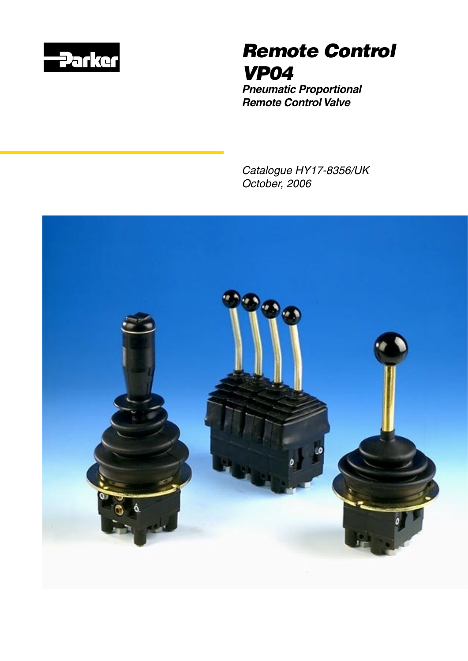

# *Remote Control VP04*

*Pneumatic Proportional Remote Control Valve*

*Catalogue HY17-8356/UK October, 2006*

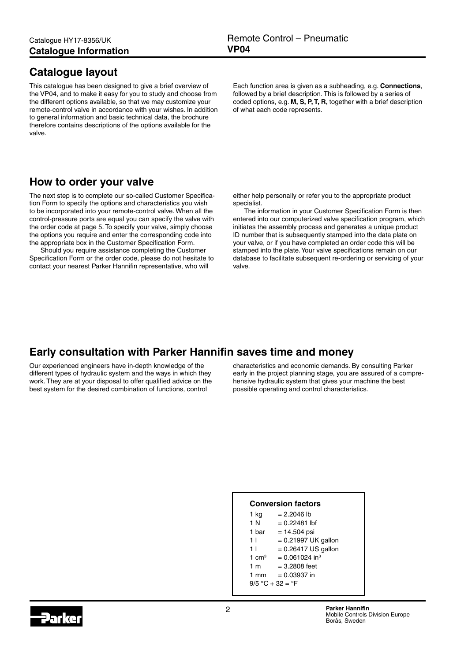### <span id="page-1-0"></span>**Catalogue layout**

This catalogue has been designed to give a brief overview of the VP04, and to make it easy for you to study and choose from the different options available, so that we may customize your remote-control valve in accordance with your wishes. In addition to general information and basic technical data, the brochure therefore contains descriptions of the options available for the valve.

Each function area is given as a subheading, e.g. **Connections**, followed by a brief description. This is followed by a series of coded options, e.g. **M, S, P, T, R,** together with a brief description of what each code represents.

### **How to order your valve**

The next step is to complete our so-called Customer Specification Form to specify the options and characteristics you wish to be incorporated into your remote-control valve. When all the control-pressure ports are equal you can specify the valve with the order code at page 5. To specify your valve, simply choose the options you require and enter the corresponding code into the appropriate box in the Customer Specification Form.

Should you require assistance completing the Customer Specification Form or the order code, please do not hesitate to contact your nearest Parker Hannifin representative, who will

either help personally or refer you to the appropriate product specialist.

The information in your Customer Specification Form is then entered into our computerized valve specification program, which initiates the assembly process and generates a unique product ID number that is subsequently stamped into the data plate on your valve, or if you have completed an order code this will be stamped into the plate. Your valve specifications remain on our database to facilitate subsequent re-ordering or servicing of your valve.

### **Early consultation with Parker Hannifin saves time and money**

Our experienced engineers have in-depth knowledge of the different types of hydraulic system and the ways in which they work. They are at your disposal to offer qualified advice on the best system for the desired combination of functions, control

characteristics and economic demands. By consulting Parker early in the project planning stage, you are assured of a comprehensive hydraulic system that gives your machine the best possible operating and control characteristics.

#### **Conversion factors**

| 1 kg               | = 2.2046 lb                  |  |  |
|--------------------|------------------------------|--|--|
| 1 N                | $= 0.22481$ lbf              |  |  |
| 1 bar              | $= 14.504$ psi               |  |  |
| 11                 | $= 0.21997$ UK gallon        |  |  |
| 11                 | $= 0.26417$ US gallon        |  |  |
| 1 $cm3$            | $= 0.061024$ in <sup>3</sup> |  |  |
| 1 <sub>m</sub>     | $= 3.2808$ feet              |  |  |
| $1 \text{ mm}$     | $= 0.03937$ in               |  |  |
| $9/5 °C + 32 = °F$ |                              |  |  |
|                    |                              |  |  |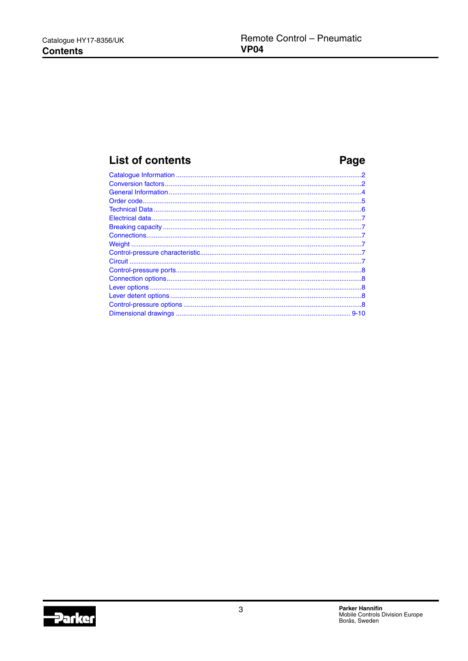### **List of contents**

## Page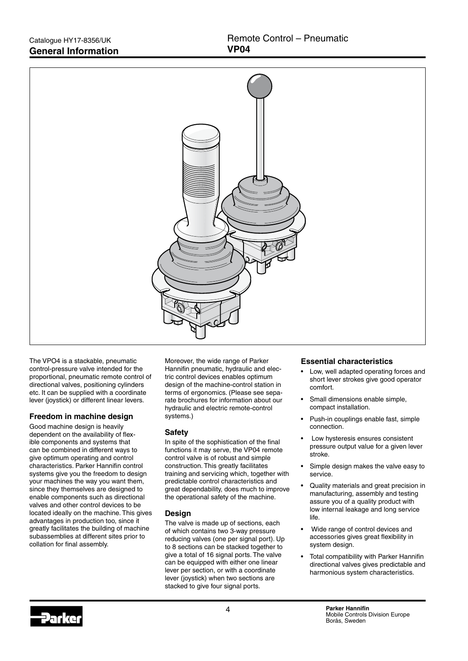<span id="page-3-0"></span>

The VPO4 is a stackable, pneumatic control-pressure valve intended for the proportional, pneumatic remote control of directional valves, positioning cylinders etc. It can be supplied with a coordinate lever (joystick) or different linear levers.

#### **Freedom in machine design**

Good machine design is heavily dependent on the availability of flexible components and systems that can be combined in different ways to give optimum operating and control characteristics. Parker Hannifin control systems give you the freedom to design your machines the way you want them, since they themselves are designed to enable components such as directional valves and other control devices to be located ideally on the machine. This gives advantages in production too, since it greatly facilitates the building of machine subassemblies at different sites prior to collation for final assembly.

Moreover, the wide range of Parker Hannifin pneumatic, hydraulic and electric control devices enables optimum design of the machine-control station in terms of ergonomics. (Please see separate brochures for information about our hydraulic and electric remote-control systems.)

#### **Safety**

In spite of the sophistication of the final functions it may serve, the VP04 remote control valve is of robust and simple construction. This greatly facilitates training and servicing which, together with predictable control characteristics and great dependability, does much to improve the operational safety of the machine.

#### **Design**

The valve is made up of sections, each of which contains two 3-way pressure reducing valves (one per signal port). Up to 8 sections can be stacked together to give a total of 16 signal ports. The valve can be equipped with either one linear lever per section, or with a coordinate lever (joystick) when two sections are stacked to give four signal ports.

#### **Essential characteristics**

- Low, well adapted operating forces and short lever strokes give good operatorcomfort.
- Small dimensions enable simple, compact installation.
- Push-in couplings enable fast, simple connection.
- Low hysteresis ensures consistent pressure output value for a given leverstroke.
- Simple design makes the valve easy to service.
- Quality materials and great precision in manufacturing, assembly and testing assure you of a quality product with low internal leakage and long service life.
- Wide range of control devices and accessories gives great flexibility in system design.
- Total compatibility with Parker Hannifin directional valves gives predictable and harmonious system characteristics.

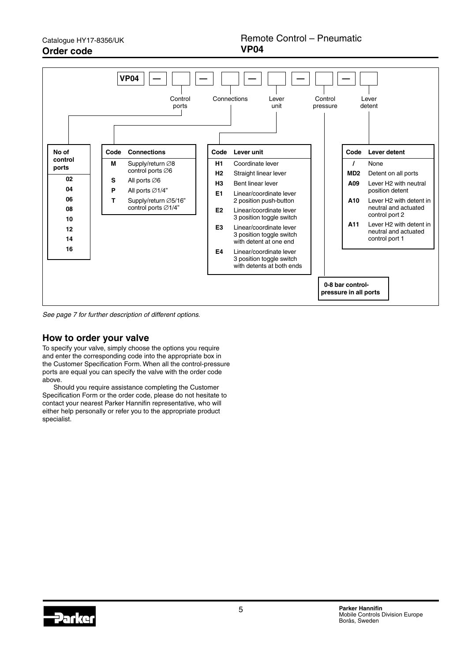<span id="page-4-0"></span>

*See page 7 for further description of different options.*

### **How to order your valve**

To specify your valve, simply choose the options you require and enter the corresponding code into the appropriate box in the Customer Specification Form. When all the control-pressure ports are equal you can specify the valve with the order code above.

Should you require assistance completing the Customer Specification Form or the order code, please do not hesitate to contact your nearest Parker Hannifin representative, who will either help personally or refer you to the appropriate product specialist.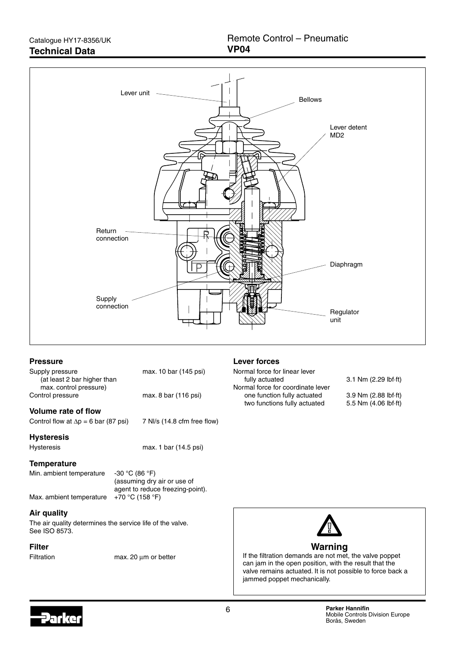<span id="page-5-0"></span>

#### **Pressure**

| Supply pressure             | max. 10 bar (145 psi) |
|-----------------------------|-----------------------|
| (at least 2 bar higher than |                       |
| max. control pressure)      |                       |
| Control pressure            | max. 8 bar (116 psi)  |

#### **Volume rate of flow**

Control flow at  $\Delta p = 6$  bar (87 psi) 7 Nl/s (14.8 cfm free flow)

#### **Hysteresis**

Hysteresis max. 1 bar (14.5 psi)

#### **Temperature**

Min. ambient temperature -30 °C (86 °F)

 (assuming dry air or use of agent to reduce freezing-point). Max. ambient temperature  $+70$  °C (158 °F)

### **Air quality**

The air quality determines the service life of the valve. See ISO 8573.

#### **Filter**

Filtration max. 20 um or better

#### **Lever forces**

Normal force for linear lever fully actuated 3.1 Nm (2.29 lbf·ft) Normal force for coordinate lever one function fully actuated 3.9 Nm (2.88 lbf·ft) two functions fully actuated 5.5 Nm (4.06 lbf·ft)



If the filtration demands are not met, the valve poppet can jam in the open position, with the result that the valve remains actuated. It is not possible to force back a jammed poppet mechanically.

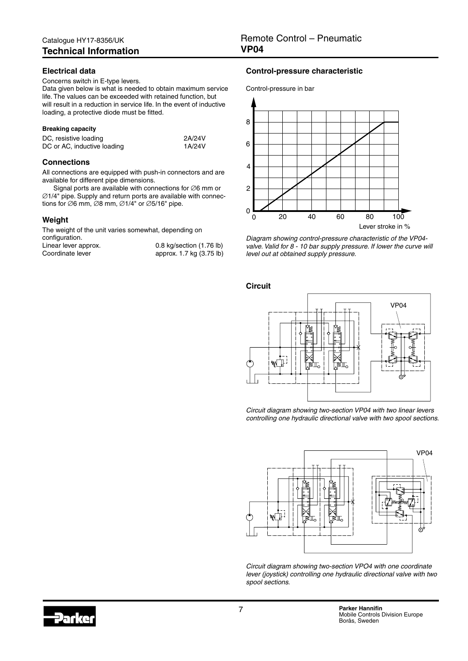#### <span id="page-6-0"></span>**Electrical data**

#### Concerns switch in E-type levers.

Data given below is what is needed to obtain maximum service life. The values can be exceeded with retained function, but will result in a reduction in service life. In the event of inductive loading, a protective diode must be fitted.

#### **Breaking capacity**

| DC, resistive loading       | 2A/24V |
|-----------------------------|--------|
| DC or AC, inductive loading | 1A/24V |

#### **Connections**

All connections are equipped with push-in connectors and are available for different pipe dimensions.

Signal ports are available with connections for ∅6 mm or ∅1/4" pipe. Supply and return ports are available with connections for ∅6 mm, ∅8 mm, ∅1/4" or ∅5/16" pipe.

#### **Weight**

The weight of the unit varies somewhat, depending on configuration.

|                      | 0.8 kg/section (1.76 lb) |
|----------------------|--------------------------|
| Linear lever approx. |                          |
| Coordinate lever     | approx. 1.7 kg (3.75 lb) |

#### **Control-pressure characteristic**





*Diagram showing control-pressure characteristic of the VP04 valve. Valid for 8 - 10 bar supply pressure. If lower the curve will level out at obtained supply pressure.*

**Circuit**



Circuit diagram showing two-section VP04 with two linear levers *controlling one hydraulic directional valve with two spool sections.*



D101758 *Circuit diagram showing two-section VPO4 with one coordinate lever (joystick) controlling one hydraulic directional valve with two spool sections.*

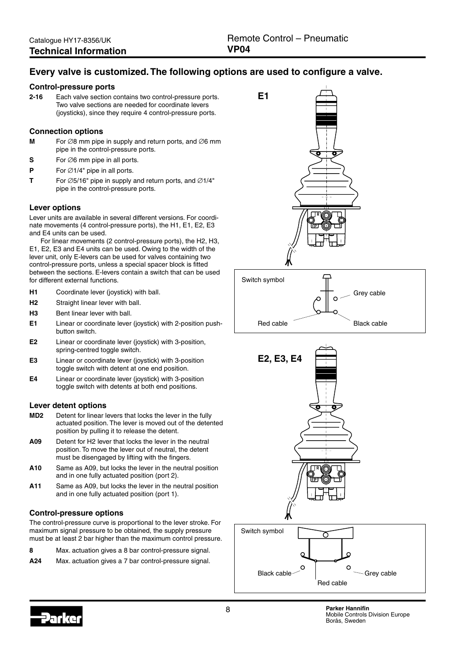### <span id="page-7-0"></span>**Every valve is customized. The following options are used to configure a valve.**

#### **Control-pressure ports**

**2-16** Each valve section contains two control-pressure ports. Two valve sections are needed for coordinate levers (joysticks), since they require 4 control-pressure ports.

#### **Connection options**

- **M** For ∅8 mm pipe in supply and return ports, and ∅6 mm pipe in the control-pressure ports.
- **S** For ∅6 mm pipe in all ports.
- **P** For ∅1/4" pipe in all ports.
- **T** For ∅5/16" pipe in supply and return ports, and ∅1/4" pipe in the control-pressure ports.

#### **Lever options**

Lever units are available in several different versions. For coordinate movements (4 control-pressure ports), the H1, E1, E2, E3 and E4 units can be used.

For linear movements (2 control-pressure ports), the H2, H3, E1, E2, E3 and E4 units can be used. Owing to the width of the lever unit, only E-levers can be used for valves containing two control-pressure ports, unless a special spacer block is fitted between the sections. E-levers contain a switch that can be used for different external functions.

- **H1** Coordinate lever (joystick) with ball.
- **H2** Straight linear lever with ball.
- **H3** Bent linear lever with ball.
- **E1** Linear or coordinate lever (joystick) with 2-position pushbutton switch.
- **E2** Linear or coordinate lever (joystick) with 3-position, spring-centred toggle switch.
- **E3** Linear or coordinate lever (joystick) with 3-position toggle switch with detent at one end position.
- **E4** Linear or coordinate lever (joystick) with 3-position toggle switch with detents at both end positions.

#### **Lever detent options**

- **MD2** Detent for linear levers that locks the lever in the fully actuated position. The lever is moved out of the detented position by pulling it to release the detent.
- **A09** Detent for H2 lever that locks the lever in the neutral position. To move the lever out of neutral, the detent must be disengaged by lifting with the fingers.
- **A10** Same as A09, but locks the lever in the neutral position and in one fully actuated position (port 2).
- **A11** Same as A09, but locks the lever in the neutral position and in one fully actuated position (port 1).

#### **Control-pressure options**

The control-pressure curve is proportional to the lever stroke. For maximum signal pressure to be obtained, the supply pressure must be at least 2 bar higher than the maximum control pressure.

| Max. actuation gives a 8 bar control-pressure signal.<br>8 |  |
|------------------------------------------------------------|--|
|------------------------------------------------------------|--|

**A24** Max. actuation gives a 7 bar control-pressure signal.





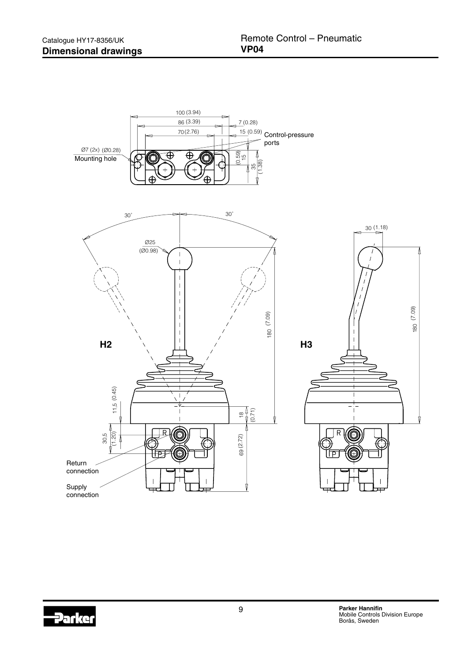<span id="page-8-0"></span>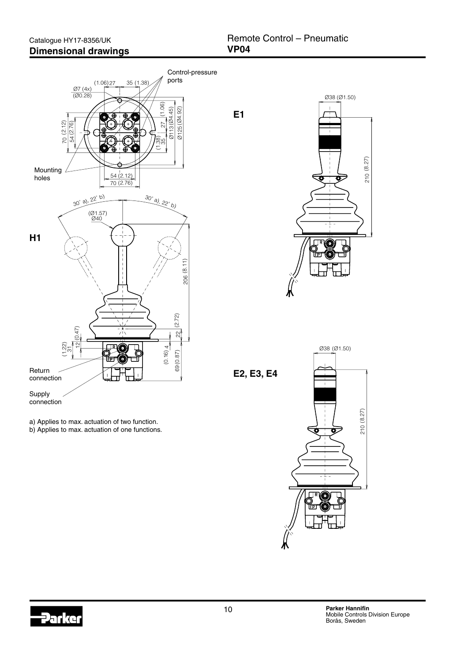





210 (8.27)

210

(8.27)

(Ø1.50)

Ø38 (Ø1.50)

下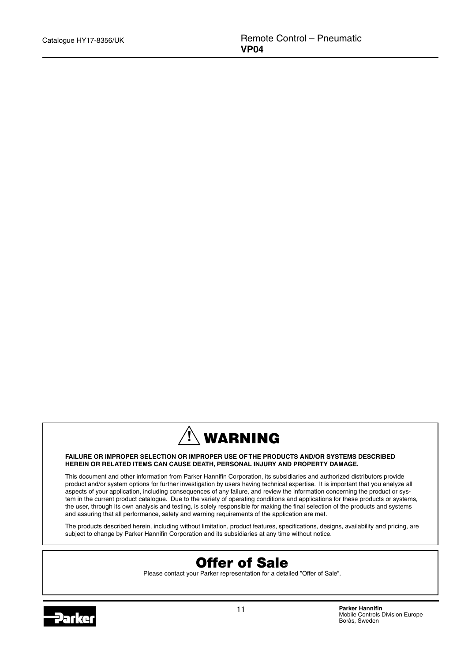

#### **FAILURE OR IMPROPER SELECTION OR IMPROPER USE OF THE PRODUCTS AND/OR SYSTEMS DESCRIBED HEREIN OR RELATED ITEMS CAN CAUSE DEATH, PERSONAL INJURY AND PROPERTY DAMAGE.**

This document and other information from Parker Hannifin Corporation, its subsidiaries and authorized distributors provide product and/or system options for further investigation by users having technical expertise. It is important that you analyze all aspects of your application, including consequences of any failure, and review the information concerning the product or system in the current product catalogue. Due to the variety of operating conditions and applications for these products or systems, the user, through its own analysis and testing, is solely responsible for making the final selection of the products and systems and assuring that all performance, safety and warning requirements of the application are met.

The products described herein, including without limitation, product features, specifications, designs, availability and pricing, are subject to change by Parker Hannifin Corporation and its subsidiaries at any time without notice.



Please contact your Parker representation for a detailed "Offer of Sale".